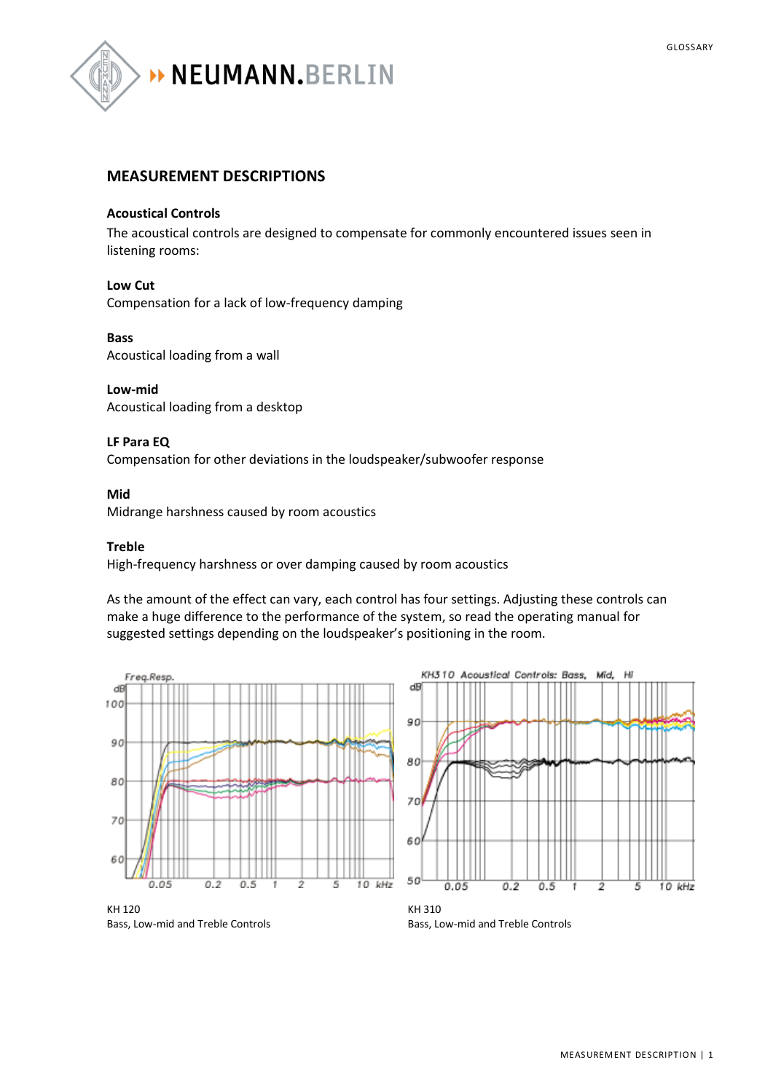

### **MEASUREMENT DESCRIPTIONS**

#### **Acoustical Controls**

The acoustical controls are designed to compensate for commonly encountered issues seen in listening rooms:

#### **Low Cut**

Compensation for a lack of low-frequency damping

#### **Bass**

Acoustical loading from a wall

#### **Low-mid**

Acoustical loading from a desktop

#### **LF Para EQ**

Compensation for other deviations in the loudspeaker/subwoofer response

#### **Mid**

Midrange harshness caused by room acoustics

#### **Treble**

High-frequency harshness or over damping caused by room acoustics

As the amount of the effect can vary, each control has four settings. Adjusting these controls can make a huge difference to the performance of the system, so read the operating manual for suggested settings depending on the loudspeaker's positioning in the room.





Bass, Low-mid and Treble Controls

Bass, Low-mid and Treble Controls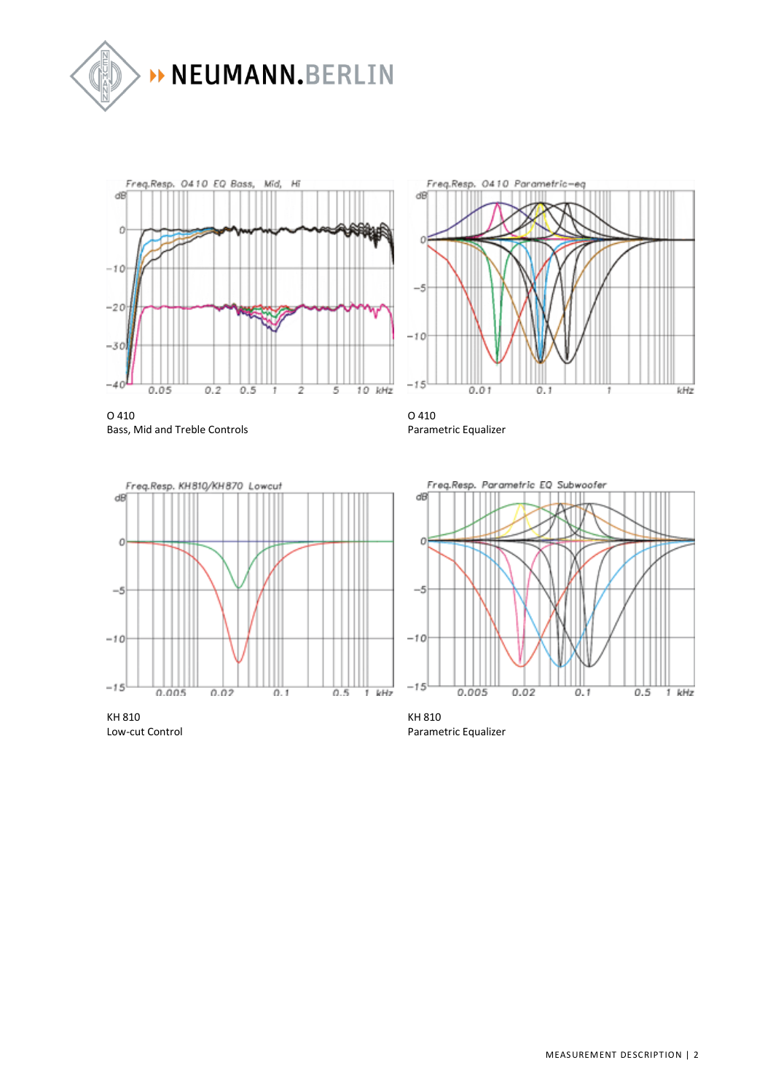



Freq.Resp. 0410 Parametric-eq ďB n  $-\frac{6}{5}$  $-10$  $-15$  $0.01$ kHz  $0.1$ f

O 410 Bass, Mid and Treble Controls

O 410 Parametric Equalizer







KH 810 Parametric Equalizer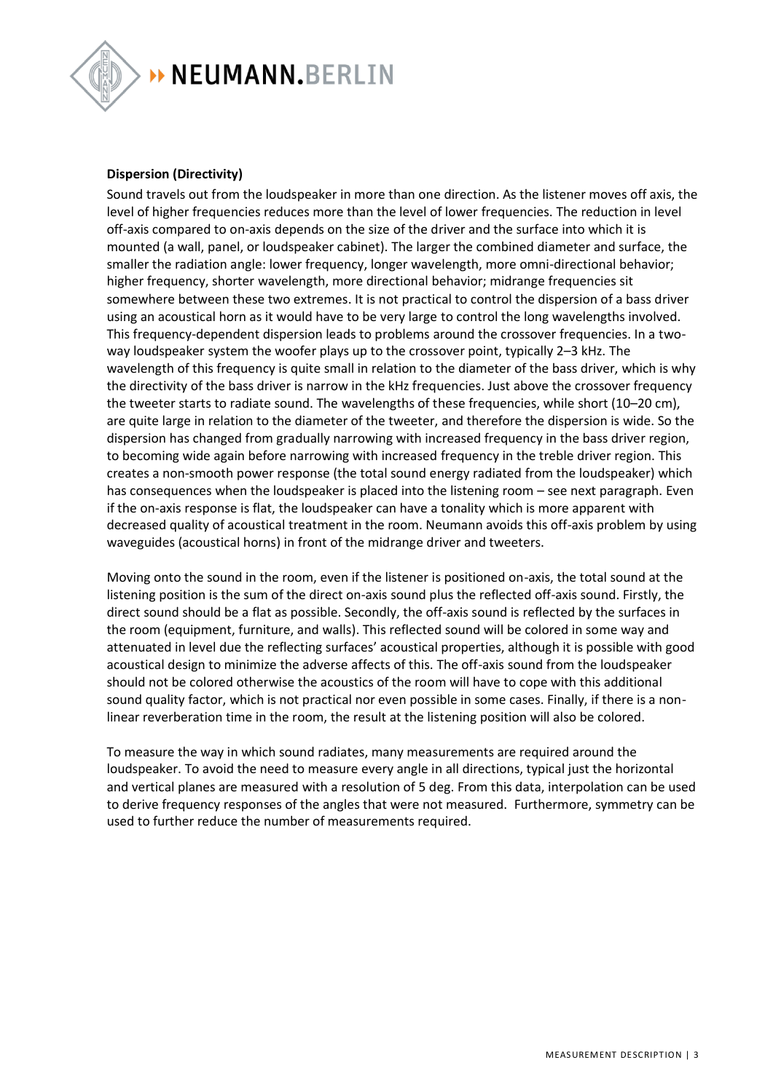

> NEUMANN.BERLIN

#### **Dispersion (Directivity)**

Sound travels out from the loudspeaker in more than one direction. As the listener moves off axis, the level of higher frequencies reduces more than the level of lower frequencies. The reduction in level off-axis compared to on-axis depends on the size of the driver and the surface into which it is mounted (a wall, panel, or loudspeaker cabinet). The larger the combined diameter and surface, the smaller the radiation angle: lower frequency, longer wavelength, more omni-directional behavior; higher frequency, shorter wavelength, more directional behavior; midrange frequencies sit somewhere between these two extremes. It is not practical to control the dispersion of a bass driver using an acoustical horn as it would have to be very large to control the long wavelengths involved. This frequency-dependent dispersion leads to problems around the crossover frequencies. In a twoway loudspeaker system the woofer plays up to the crossover point, typically 2–3 kHz. The wavelength of this frequency is quite small in relation to the diameter of the bass driver, which is why the directivity of the bass driver is narrow in the kHz frequencies. Just above the crossover frequency the tweeter starts to radiate sound. The wavelengths of these frequencies, while short (10–20 cm), are quite large in relation to the diameter of the tweeter, and therefore the dispersion is wide. So the dispersion has changed from gradually narrowing with increased frequency in the bass driver region, to becoming wide again before narrowing with increased frequency in the treble driver region. This creates a non-smooth power response (the total sound energy radiated from the loudspeaker) which has consequences when the loudspeaker is placed into the listening room – see next paragraph. Even if the on-axis response is flat, the loudspeaker can have a tonality which is more apparent with decreased quality of acoustical treatment in the room. Neumann avoids this off-axis problem by using waveguides (acoustical horns) in front of the midrange driver and tweeters.

Moving onto the sound in the room, even if the listener is positioned on-axis, the total sound at the listening position is the sum of the direct on-axis sound plus the reflected off-axis sound. Firstly, the direct sound should be a flat as possible. Secondly, the off-axis sound is reflected by the surfaces in the room (equipment, furniture, and walls). This reflected sound will be colored in some way and attenuated in level due the reflecting surfaces' acoustical properties, although it is possible with good acoustical design to minimize the adverse affects of this. The off-axis sound from the loudspeaker should not be colored otherwise the acoustics of the room will have to cope with this additional sound quality factor, which is not practical nor even possible in some cases. Finally, if there is a nonlinear reverberation time in the room, the result at the listening position will also be colored.

To measure the way in which sound radiates, many measurements are required around the loudspeaker. To avoid the need to measure every angle in all directions, typical just the horizontal and vertical planes are measured with a resolution of 5 deg. From this data, interpolation can be used to derive frequency responses of the angles that were not measured. Furthermore, symmetry can be used to further reduce the number of measurements required.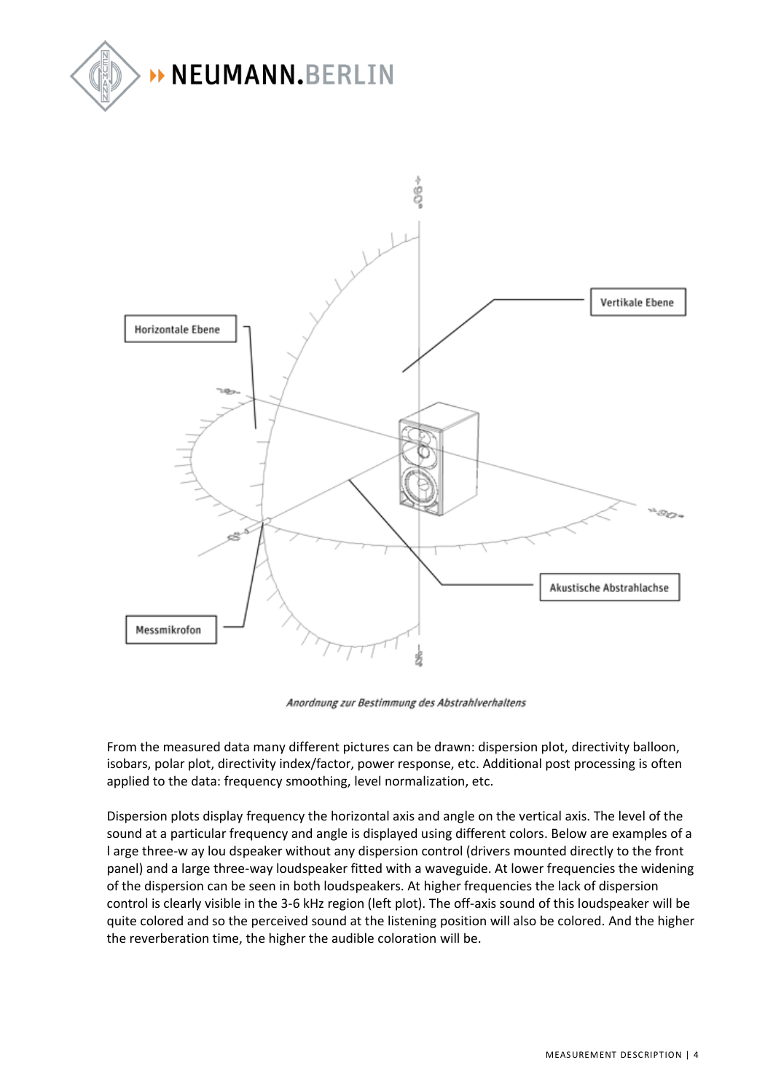



Anordnung zur Bestimmung des Abstrahlverhaltens

From the measured data many different pictures can be drawn: dispersion plot, directivity balloon, isobars, polar plot, directivity index/factor, power response, etc. Additional post processing is often applied to the data: frequency smoothing, level normalization, etc.

Dispersion plots display frequency the horizontal axis and angle on the vertical axis. The level of the sound at a particular frequency and angle is displayed using different colors. Below are examples of a l arge three-w ay lou dspeaker without any dispersion control (drivers mounted directly to the front panel) and a large three-way loudspeaker fitted with a waveguide. At lower frequencies the widening of the dispersion can be seen in both loudspeakers. At higher frequencies the lack of dispersion control is clearly visible in the 3-6 kHz region (left plot). The off-axis sound of this loudspeaker will be quite colored and so the perceived sound at the listening position will also be colored. And the higher the reverberation time, the higher the audible coloration will be.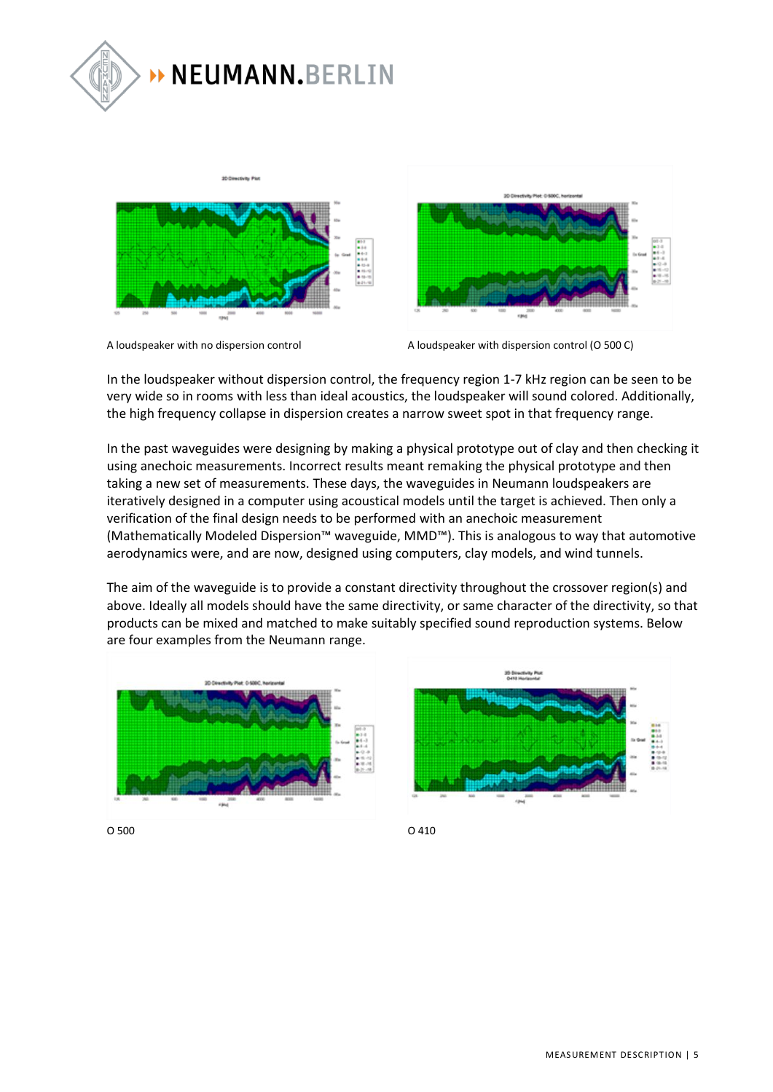





A loudspeaker with no dispersion control  $\blacksquare$  A loudspeaker with dispersion control (O 500 C)

MEASUREMENT DESCRIPTION | 5

In the loudspeaker without dispersion control, the frequency region 1-7 kHz region can be seen to be very wide so in rooms with less than ideal acoustics, the loudspeaker will sound colored. Additionally, the high frequency collapse in dispersion creates a narrow sweet spot in that frequency range.

In the past waveguides were designing by making a physical prototype out of clay and then checking it using anechoic measurements. Incorrect results meant remaking the physical prototype and then taking a new set of measurements. These days, the waveguides in Neumann loudspeakers are iteratively designed in a computer using acoustical models until the target is achieved. Then only a verification of the final design needs to be performed with an anechoic measurement (Mathematically Modeled Dispersion™ waveguide, MMD™). This is analogous to way that automotive aerodynamics were, and are now, designed using computers, clay models, and wind tunnels.

The aim of the waveguide is to provide a constant directivity throughout the crossover region(s) and above. Ideally all models should have the same directivity, or same character of the directivity, so that products can be mixed and matched to make suitably specified sound reproduction systems. Below are four examples from the Neumann range.

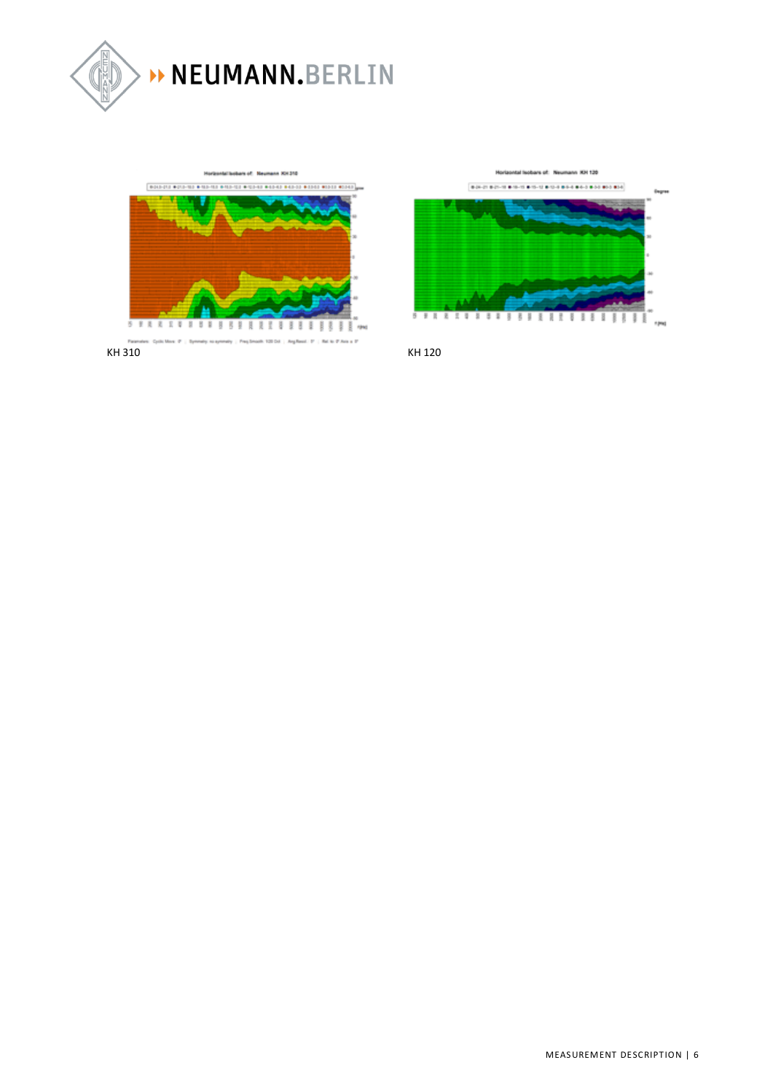



Horizontal leobars of Neumann XH 120 **BACK BACK BOOK BOOK BOOK BOOK AND BOOKS** 

11

1 ł

Ŧ I 3

ž,

3 - 3 R 8  $\frac{1}{2}$ 3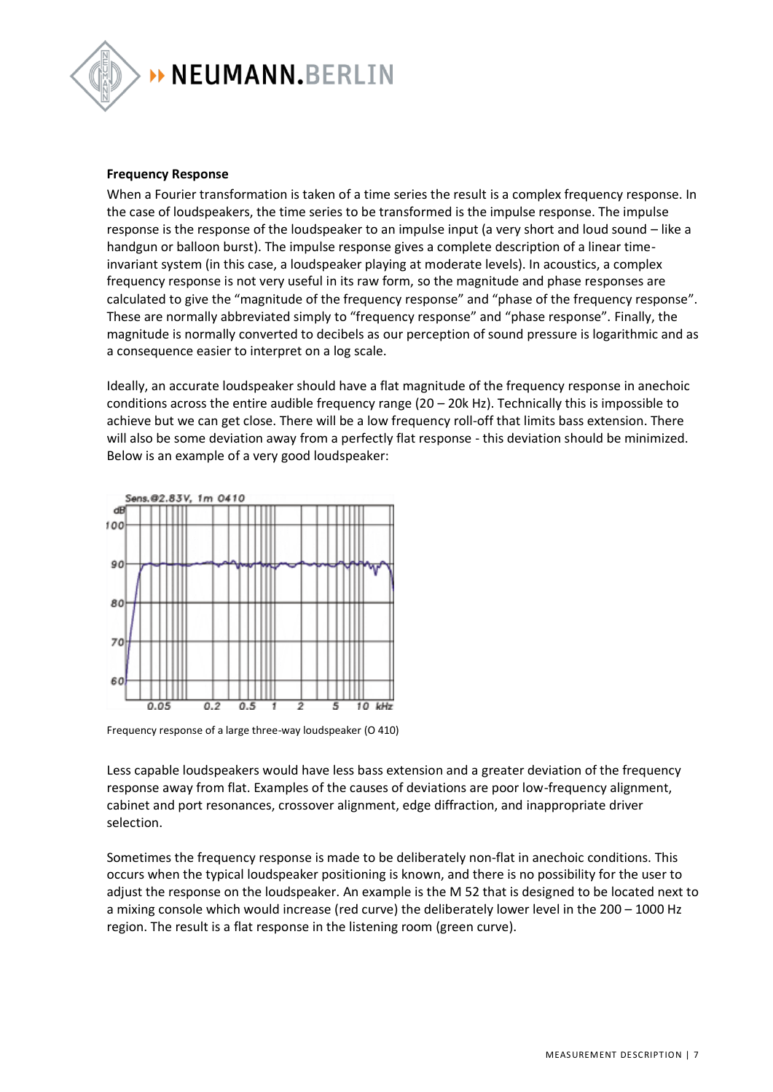

#### **Frequency Response**

When a Fourier transformation is taken of a time series the result is a complex frequency response. In the case of loudspeakers, the time series to be transformed is the impulse response. The impulse response is the response of the loudspeaker to an impulse input (a very short and loud sound – like a handgun or balloon burst). The impulse response gives a complete description of a linear timeinvariant system (in this case, a loudspeaker playing at moderate levels). In acoustics, a complex frequency response is not very useful in its raw form, so the magnitude and phase responses are calculated to give the "magnitude of the frequency response" and "phase of the frequency response". These are normally abbreviated simply to "frequency response" and "phase response". Finally, the magnitude is normally converted to decibels as our perception of sound pressure is logarithmic and as a consequence easier to interpret on a log scale.

Ideally, an accurate loudspeaker should have a flat magnitude of the frequency response in anechoic conditions across the entire audible frequency range (20 – 20k Hz). Technically this is impossible to achieve but we can get close. There will be a low frequency roll-off that limits bass extension. There will also be some deviation away from a perfectly flat response - this deviation should be minimized. Below is an example of a very good loudspeaker:



Frequency response of a large three-way loudspeaker (O 410)

Less capable loudspeakers would have less bass extension and a greater deviation of the frequency response away from flat. Examples of the causes of deviations are poor low-frequency alignment, cabinet and port resonances, crossover alignment, edge diffraction, and inappropriate driver selection.

Sometimes the frequency response is made to be deliberately non-flat in anechoic conditions. This occurs when the typical loudspeaker positioning is known, and there is no possibility for the user to adjust the response on the loudspeaker. An example is the M 52 that is designed to be located next to a mixing console which would increase (red curve) the deliberately lower level in the 200 – 1000 Hz region. The result is a flat response in the listening room (green curve).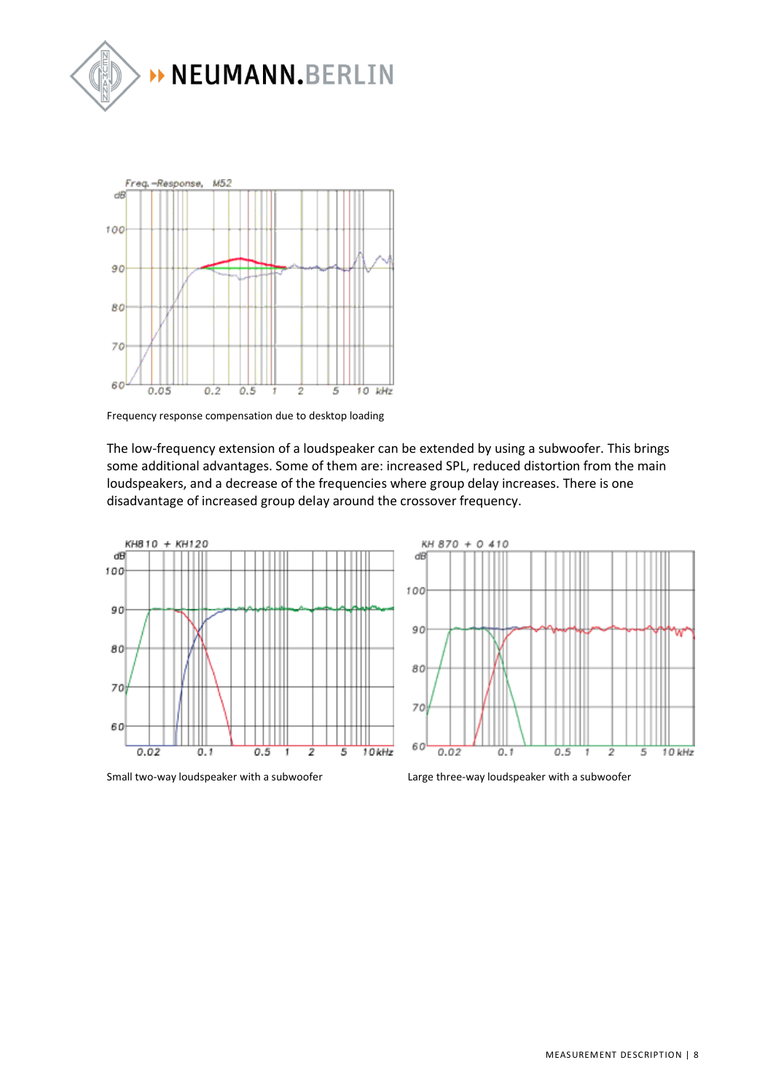



Frequency response compensation due to desktop loading

The low-frequency extension of a loudspeaker can be extended by using a subwoofer. This brings some additional advantages. Some of them are: increased SPL, reduced distortion from the main loudspeakers, and a decrease of the frequencies where group delay increases. There is one disadvantage of increased group delay around the crossover frequency.





Small two-way loudspeaker with a subwoofer Large three-way loudspeaker with a subwoofer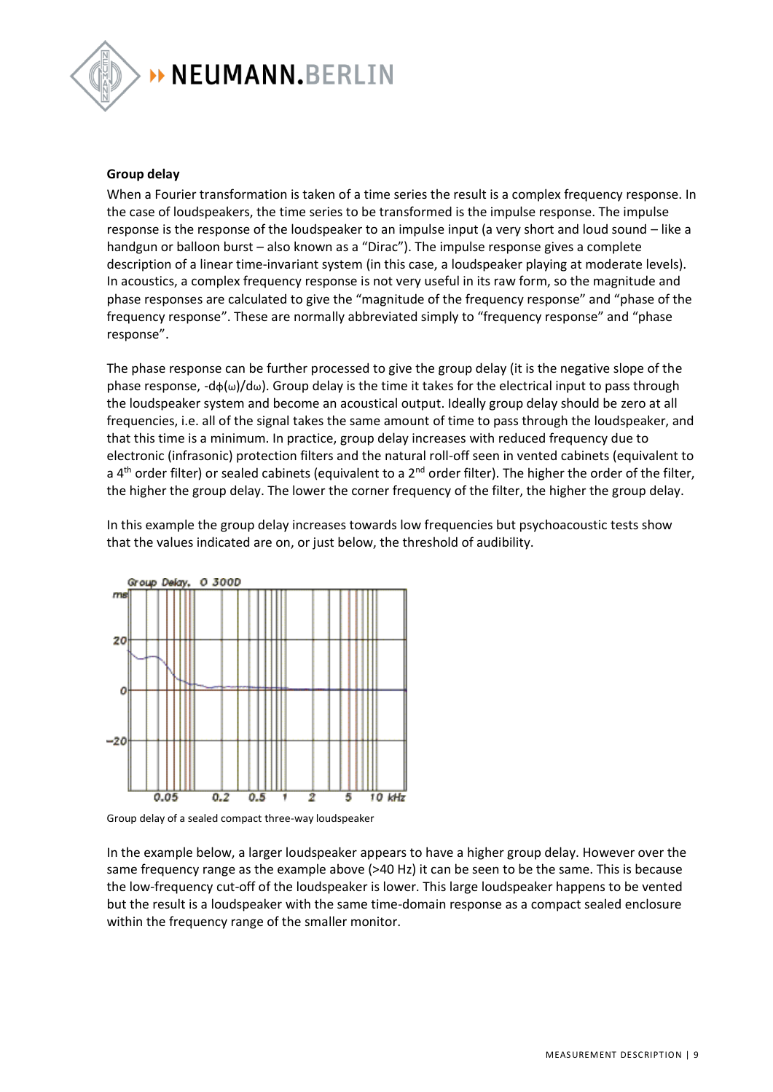

# > NEUMANN.BERLIN

#### **Group delay**

When a Fourier transformation is taken of a time series the result is a complex frequency response. In the case of loudspeakers, the time series to be transformed is the impulse response. The impulse response is the response of the loudspeaker to an impulse input (a very short and loud sound – like a handgun or balloon burst – also known as a "Dirac"). The impulse response gives a complete description of a linear time-invariant system (in this case, a loudspeaker playing at moderate levels). In acoustics, a complex frequency response is not very useful in its raw form, so the magnitude and phase responses are calculated to give the "magnitude of the frequency response" and "phase of the frequency response". These are normally abbreviated simply to "frequency response" and "phase response".

The phase response can be further processed to give the group delay (it is the negative slope of the phase response,  $-d\phi(\omega)/d\omega$ ). Group delay is the time it takes for the electrical input to pass through the loudspeaker system and become an acoustical output. Ideally group delay should be zero at all frequencies, i.e. all of the signal takes the same amount of time to pass through the loudspeaker, and that this time is a minimum. In practice, group delay increases with reduced frequency due to electronic (infrasonic) protection filters and the natural roll-off seen in vented cabinets (equivalent to a 4<sup>th</sup> order filter) or sealed cabinets (equivalent to a  $2^{nd}$  order filter). The higher the order of the filter, the higher the group delay. The lower the corner frequency of the filter, the higher the group delay.

In this example the group delay increases towards low frequencies but psychoacoustic tests show that the values indicated are on, or just below, the threshold of audibility.



Group delay of a sealed compact three-way loudspeaker

In the example below, a larger loudspeaker appears to have a higher group delay. However over the same frequency range as the example above (>40 Hz) it can be seen to be the same. This is because the low-frequency cut-off of the loudspeaker is lower. This large loudspeaker happens to be vented but the result is a loudspeaker with the same time-domain response as a compact sealed enclosure within the frequency range of the smaller monitor.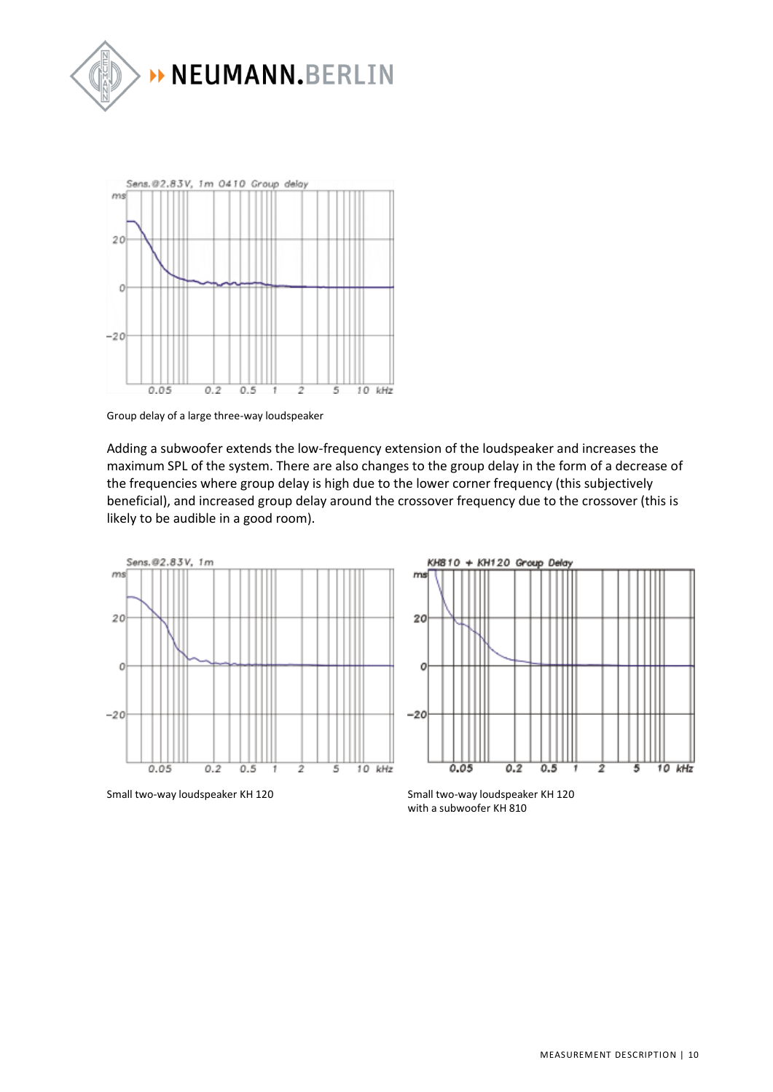



Group delay of a large three-way loudspeaker

Adding a subwoofer extends the low-frequency extension of the loudspeaker and increases the maximum SPL of the system. There are also changes to the group delay in the form of a decrease of the frequencies where group delay is high due to the lower corner frequency (this subjectively beneficial), and increased group delay around the crossover frequency due to the crossover (this is likely to be audible in a good room).



Small two-way loudspeaker KH 120 Small two-way loudspeaker KH 120



with a subwoofer KH 810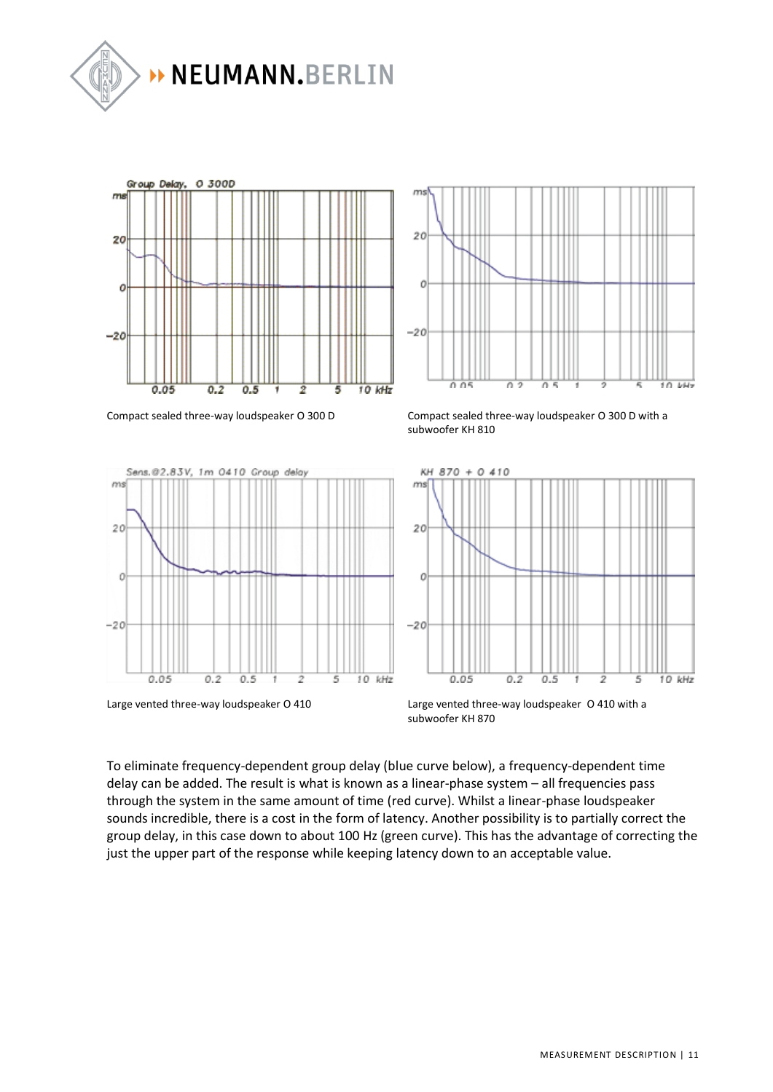







Compact sealed three-way loudspeaker O 300 D Compact sealed three-way loudspeaker O 300 D with a subwoofer KH 810



Large vented three-way loudspeaker O 410 Large vented three-way loudspeaker O 410 with a subwoofer KH 870

To eliminate frequency-dependent group delay (blue curve below), a frequency-dependent time delay can be added. The result is what is known as a linear-phase system – all frequencies pass through the system in the same amount of time (red curve). Whilst a linear-phase loudspeaker sounds incredible, there is a cost in the form of latency. Another possibility is to partially correct the group delay, in this case down to about 100 Hz (green curve). This has the advantage of correcting the just the upper part of the response while keeping latency down to an acceptable value.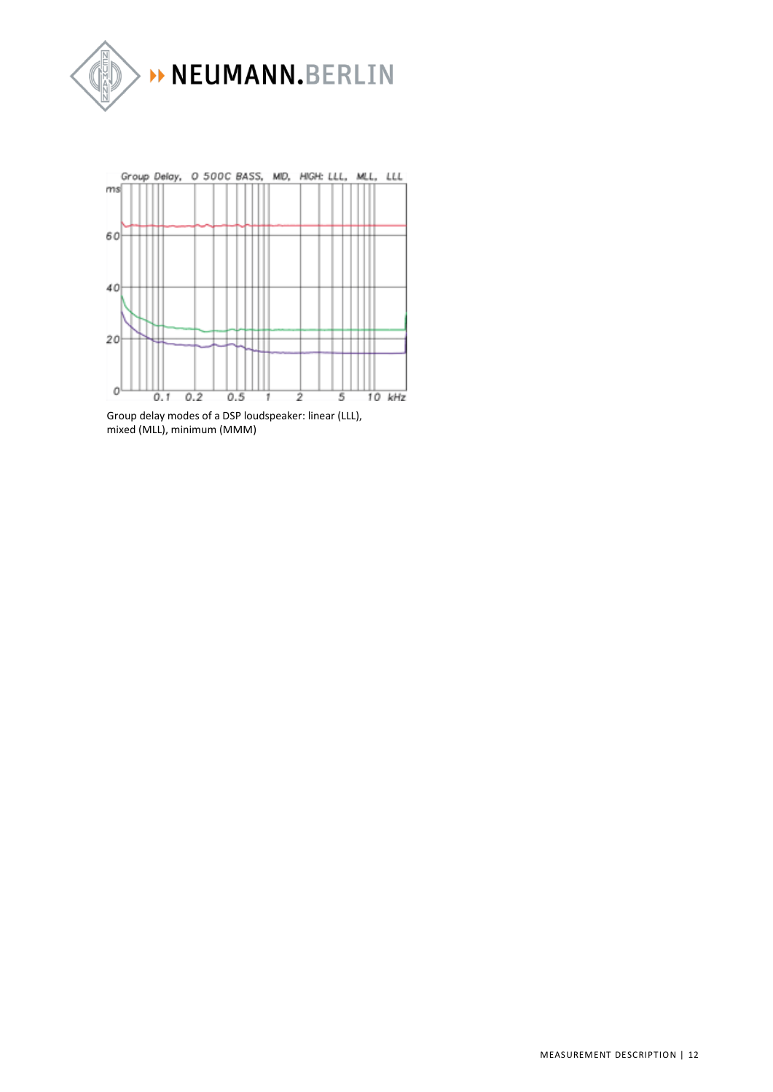



Group delay modes of a DSP loudspeaker: linear (LLL), mixed (MLL), minimum (MMM)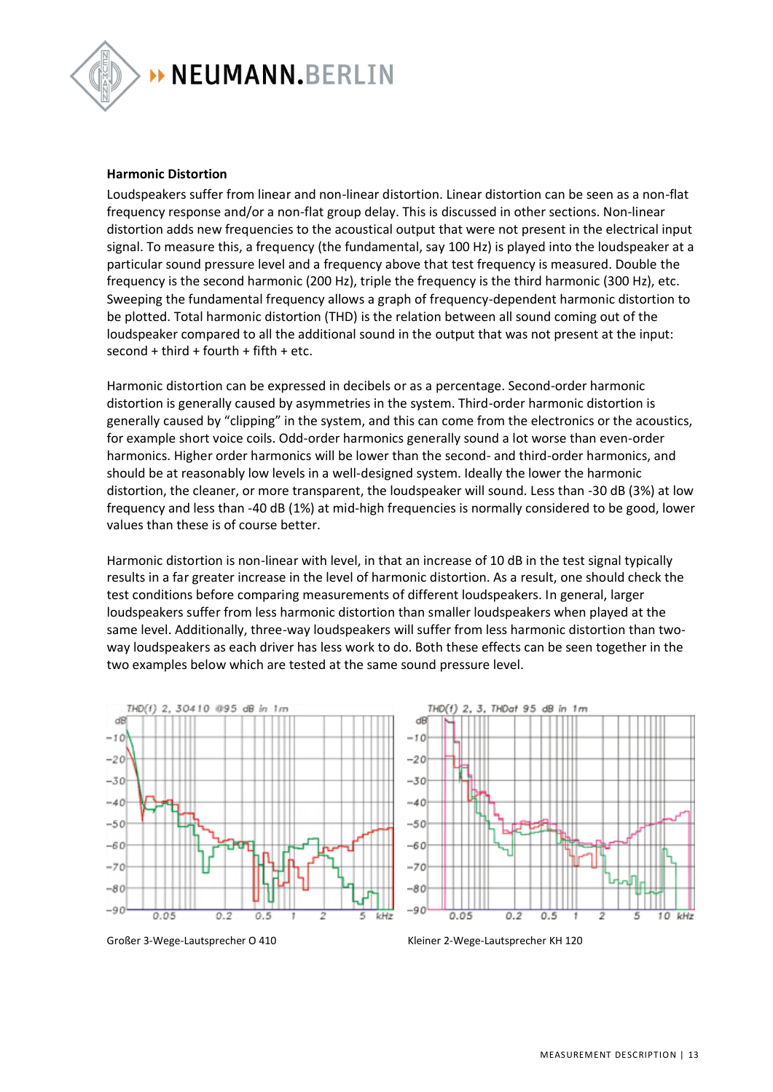

# NEUMANN.BERLIN

#### **Harmonic Distortion**

Loudspeakers suffer from linear and non-linear distortion. Linear distortion can be seen as a non-flat frequency response and/or a non-flat group delay. This is discussed in other sections. Non-linear distortion adds new frequencies to the acoustical output that were not present in the electrical input signal. To measure this, a frequency (the fundamental, say 100 Hz) is played into the loudspeaker at a particular sound pressure level and a frequency above that test frequency is measured. Double the frequency is the second harmonic (200 Hz), triple the frequency is the third harmonic (300 Hz), etc. Sweeping the fundamental frequency allows a graph of frequency-dependent harmonic distortion to be plotted. Total harmonic distortion (THD) is the relation between all sound coming out of the loudspeaker compared to all the additional sound in the output that was not present at the input:  $second + third + fourth + fifth + etc.$ 

Harmonic distortion can be expressed in decibels or as a percentage. Second-order harmonic distortion is generally caused by asymmetries in the system. Third-order harmonic distortion is generally caused by "clipping" in the system, and this can come from the electronics or the acoustics, for example short voice coils. Odd-order harmonics generally sound a lot worse than even-order harmonics. Higher order harmonics will be lower than the second- and third-order harmonics, and should be at reasonably low levels in a well-designed system. Ideally the lower the harmonic distortion, the cleaner, or more transparent, the loudspeaker will sound. Less than -30 dB (3%) at low frequency and less than -40 dB (1%) at mid-high frequencies is normally considered to be good, lower values than these is of course better.

Harmonic distortion is non-linear with level, in that an increase of 10 dB in the test signal typically results in a far greater increase in the level of harmonic distortion. As a result, one should check the test conditions before comparing measurements of different loudspeakers. In general, larger loudspeakers suffer from less harmonic distortion than smaller loudspeakers when played at the same level. Additionally, three-way loudspeakers will suffer from less harmonic distortion than twoway loudspeakers as each driver has less work to do. Both these effects can be seen together in the two examples below which are tested at the same sound pressure level.





Großer 3-Wege-Lautsprecher O 410 Kleiner 2-Wege-Lautsprecher KH 120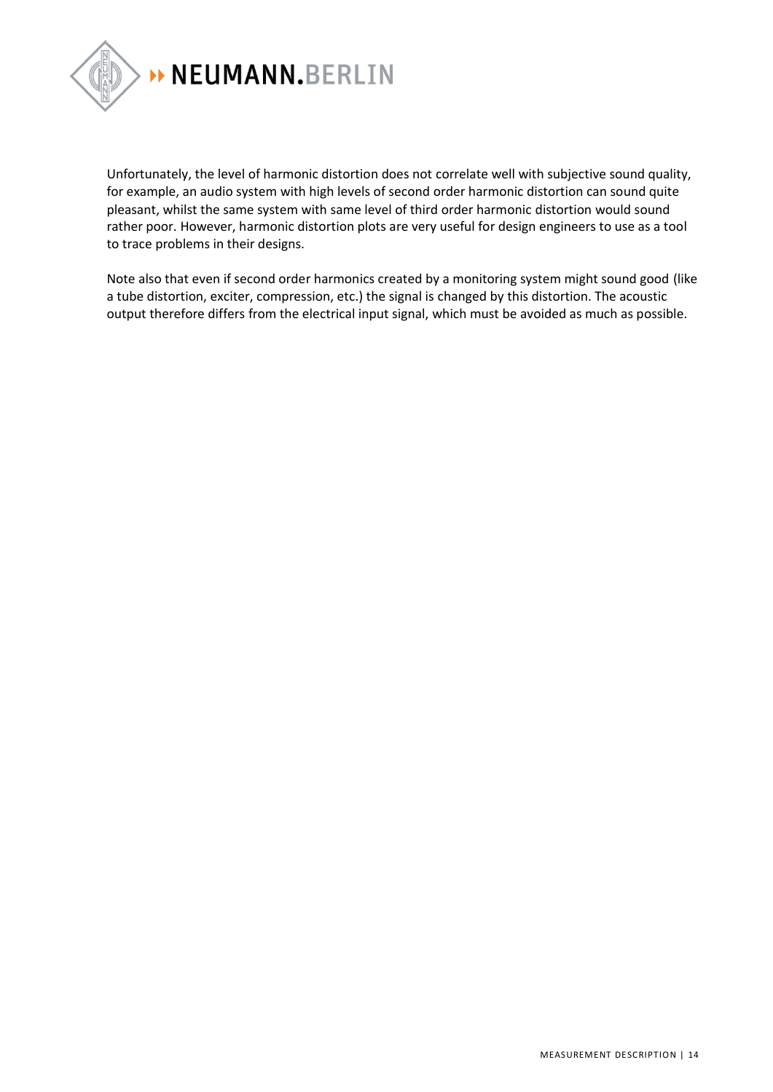

Unfortunately, the level of harmonic distortion does not correlate well with subjective sound quality, for example, an audio system with high levels of second order harmonic distortion can sound quite pleasant, whilst the same system with same level of third order harmonic distortion would sound rather poor. However, harmonic distortion plots are very useful for design engineers to use as a tool to trace problems in their designs.

Note also that even if second order harmonics created by a monitoring system might sound good (like a tube distortion, exciter, compression, etc.) the signal is changed by this distortion. The acoustic output therefore differs from the electrical input signal, which must be avoided as much as possible.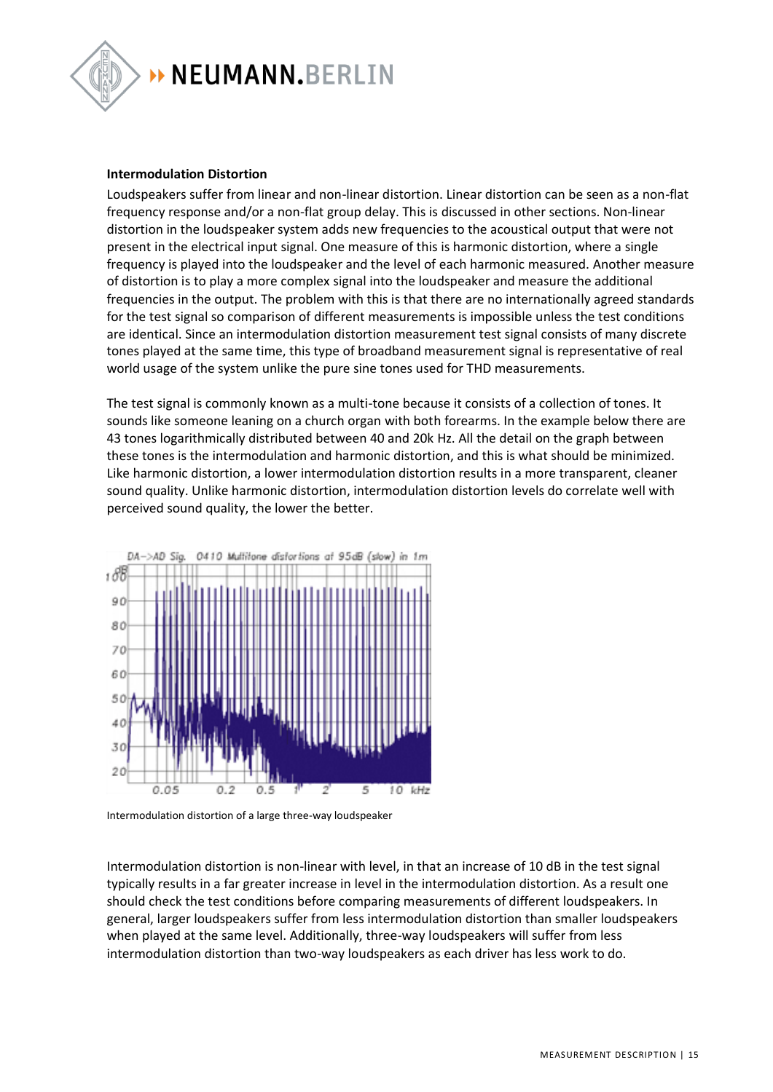

### **Intermodulation Distortion**

Loudspeakers suffer from linear and non-linear distortion. Linear distortion can be seen as a non-flat frequency response and/or a non-flat group delay. This is discussed in other sections. Non-linear distortion in the loudspeaker system adds new frequencies to the acoustical output that were not present in the electrical input signal. One measure of this is harmonic distortion, where a single frequency is played into the loudspeaker and the level of each harmonic measured. Another measure of distortion is to play a more complex signal into the loudspeaker and measure the additional frequencies in the output. The problem with this is that there are no internationally agreed standards for the test signal so comparison of different measurements is impossible unless the test conditions are identical. Since an intermodulation distortion measurement test signal consists of many discrete tones played at the same time, this type of broadband measurement signal is representative of real world usage of the system unlike the pure sine tones used for THD measurements.

The test signal is commonly known as a multi-tone because it consists of a collection of tones. It sounds like someone leaning on a church organ with both forearms. In the example below there are 43 tones logarithmically distributed between 40 and 20k Hz. All the detail on the graph between these tones is the intermodulation and harmonic distortion, and this is what should be minimized. Like harmonic distortion, a lower intermodulation distortion results in a more transparent, cleaner sound quality. Unlike harmonic distortion, intermodulation distortion levels do correlate well with perceived sound quality, the lower the better.



Intermodulation distortion of a large three-way loudspeaker

Intermodulation distortion is non-linear with level, in that an increase of 10 dB in the test signal typically results in a far greater increase in level in the intermodulation distortion. As a result one should check the test conditions before comparing measurements of different loudspeakers. In general, larger loudspeakers suffer from less intermodulation distortion than smaller loudspeakers when played at the same level. Additionally, three-way loudspeakers will suffer from less intermodulation distortion than two-way loudspeakers as each driver has less work to do.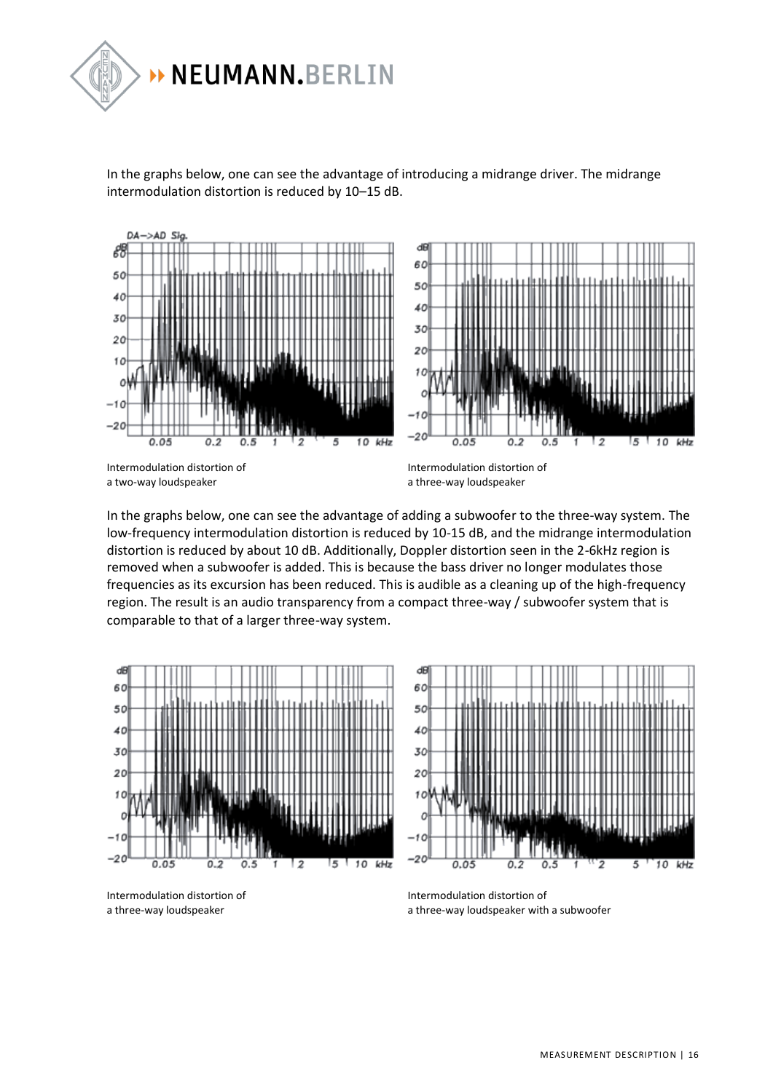

In the graphs below, one can see the advantage of introducing a midrange driver. The midrange intermodulation distortion is reduced by 10–15 dB.



In the graphs below, one can see the advantage of adding a subwoofer to the three-way system. The low-frequency intermodulation distortion is reduced by 10-15 dB, and the midrange intermodulation distortion is reduced by about 10 dB. Additionally, Doppler distortion seen in the 2-6kHz region is removed when a subwoofer is added. This is because the bass driver no longer modulates those frequencies as its excursion has been reduced. This is audible as a cleaning up of the high-frequency region. The result is an audio transparency from a compact three-way / subwoofer system that is comparable to that of a larger three-way system.



Intermodulation distortion of a three-way loudspeaker

Intermodulation distortion of a three-way loudspeaker with a subwoofer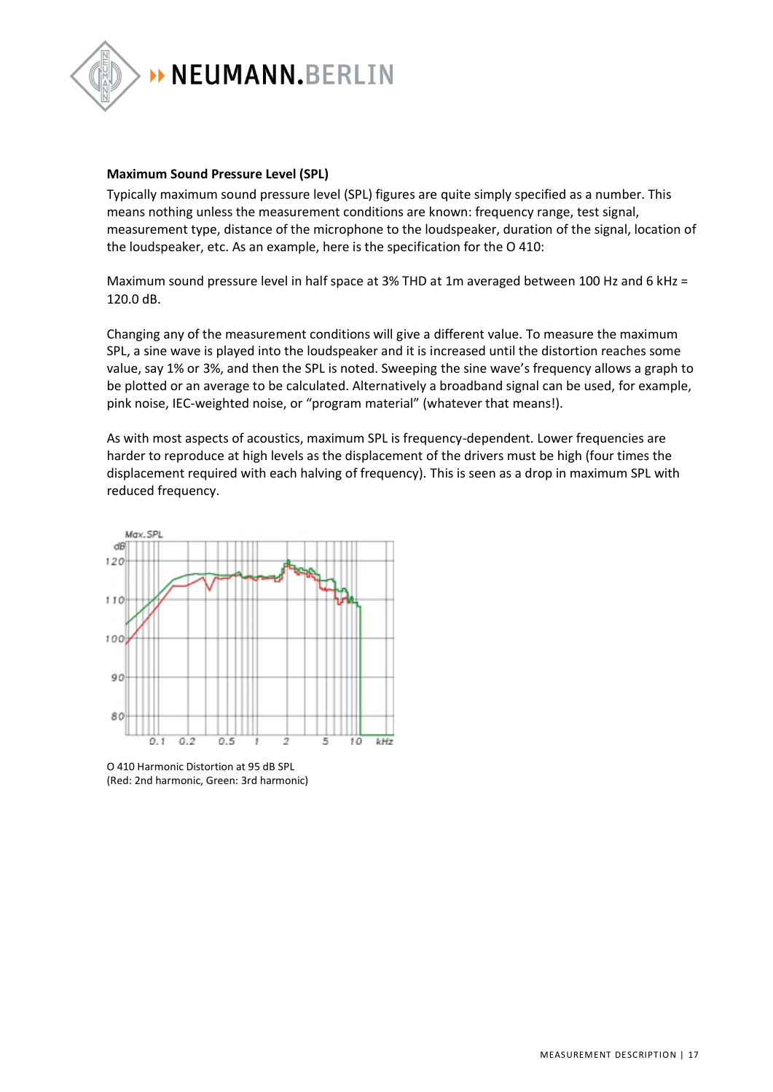

#### **Maximum Sound Pressure Level (SPL)**

Typically maximum sound pressure level (SPL) figures are quite simply specified as a number. This means nothing unless the measurement conditions are known: frequency range, test signal, measurement type, distance of the microphone to the loudspeaker, duration of the signal, location of the loudspeaker, etc. As an example, here is the specification for the O 410:

Maximum sound pressure level in half space at 3% THD at 1m averaged between 100 Hz and 6 kHz = 120.0 dB.

Changing any of the measurement conditions will give a different value. To measure the maximum SPL, a sine wave is played into the loudspeaker and it is increased until the distortion reaches some value, say 1% or 3%, and then the SPL is noted. Sweeping the sine wave's frequency allows a graph to be plotted or an average to be calculated. Alternatively a broadband signal can be used, for example, pink noise, IEC-weighted noise, or "program material" (whatever that means!).

As with most aspects of acoustics, maximum SPL is frequency-dependent. Lower frequencies are harder to reproduce at high levels as the displacement of the drivers must be high (four times the displacement required with each halving of frequency). This is seen as a drop in maximum SPL with reduced frequency.



O 410 Harmonic Distortion at 95 dB SPL (Red: 2nd harmonic, Green: 3rd harmonic)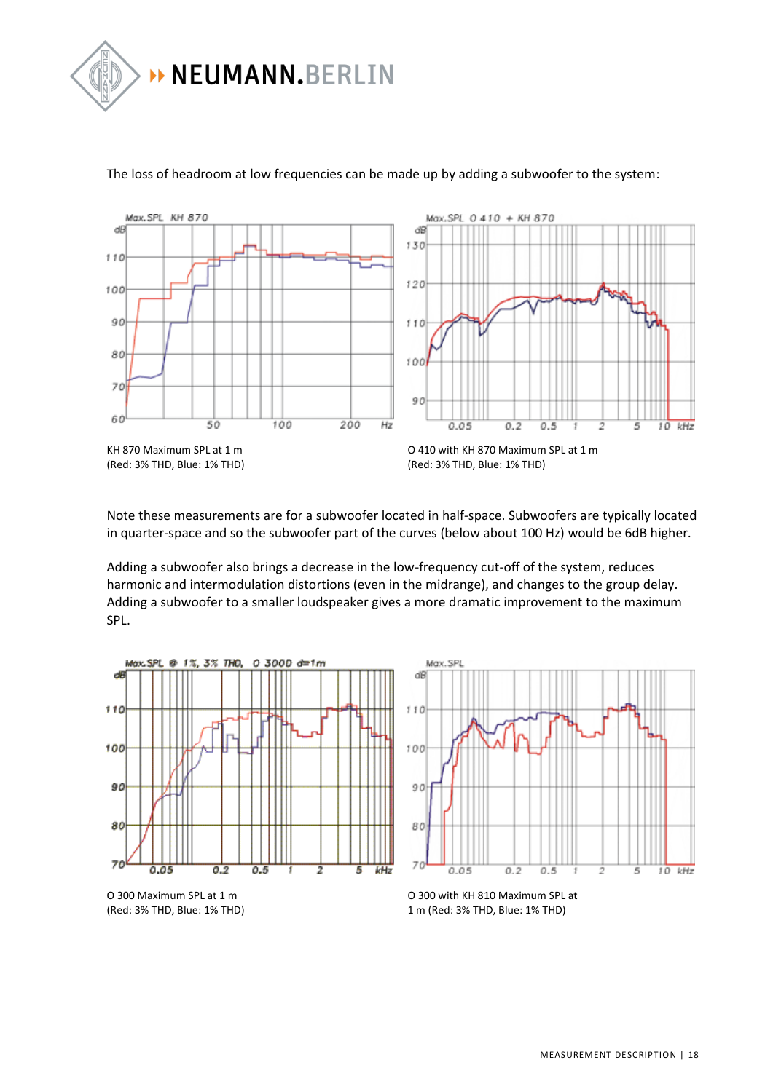



#### The loss of headroom at low frequencies can be made up by adding a subwoofer to the system:

Note these measurements are for a subwoofer located in half-space. Subwoofers are typically located in quarter-space and so the subwoofer part of the curves (below about 100 Hz) would be 6dB higher.

Adding a subwoofer also brings a decrease in the low-frequency cut-off of the system, reduces harmonic and intermodulation distortions (even in the midrange), and changes to the group delay. Adding a subwoofer to a smaller loudspeaker gives a more dramatic improvement to the maximum SPL.







O 300 with KH 810 Maximum SPL at 1 m (Red: 3% THD, Blue: 1% THD)